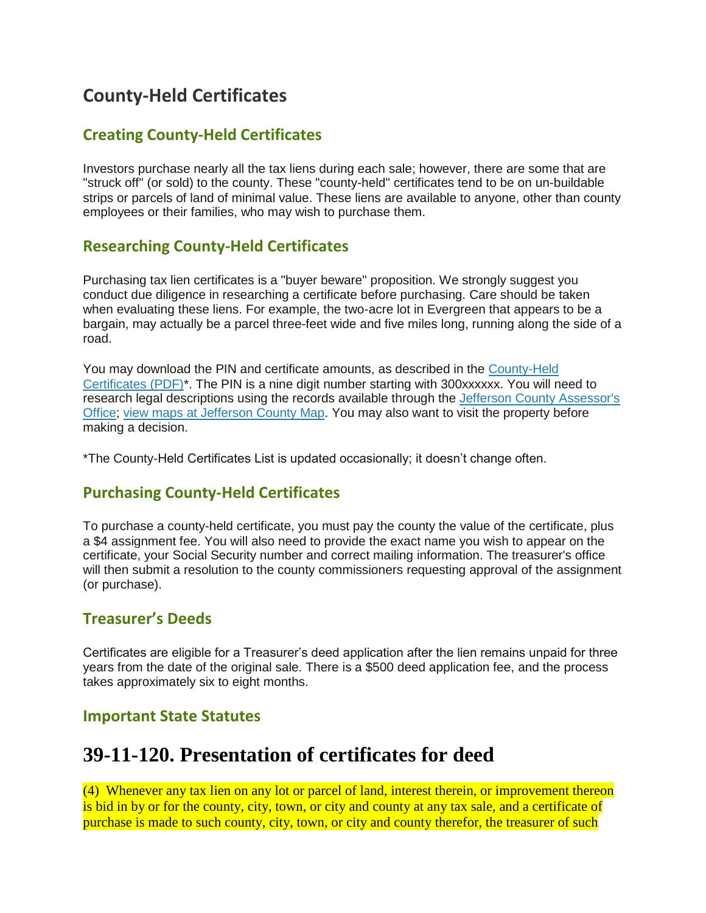# **County-Held Certificates**

#### **Creating County-Held Certificates**

Investors purchase nearly all the tax liens during each sale; however, there are some that are "struck off" (or sold) to the county. These "county-held" certificates tend to be on un-buildable strips or parcels of land of minimal value. These liens are available to anyone, other than county employees or their families, who may wish to purchase them.

#### **Researching County-Held Certificates**

Purchasing tax lien certificates is a "buyer beware" proposition. We strongly suggest you conduct due diligence in researching a certificate before purchasing. Care should be taken when evaluating these liens. For example, the two-acre lot in Evergreen that appears to be a bargain, may actually be a parcel three-feet wide and five miles long, running along the side of a road.

You may download the PIN and certificate amounts, as described in the [County-Held](https://www.jeffco.us/DocumentCenter/View/11800)  [Certificates \(PDF\)\\*](https://www.jeffco.us/DocumentCenter/View/11800). The PIN is a nine digit number starting with 300xxxxxx. You will need to research legal descriptions using the records available through the [Jefferson County Assessor's](https://www.jeffco.us/658/Assessor)  [Office;](https://www.jeffco.us/658/Assessor) [view maps at Jefferson County Map.](https://www.jeffco.us/739/Mapping-GIS) You may also want to visit the property before making a decision.

\*The County-Held Certificates List is updated occasionally; it doesn't change often.

#### **Purchasing County-Held Certificates**

To purchase a county-held certificate, you must pay the county the value of the certificate, plus a \$4 assignment fee. You will also need to provide the exact name you wish to appear on the certificate, your Social Security number and correct mailing information. The treasurer's office will then submit a resolution to the county commissioners requesting approval of the assignment (or purchase).

#### **Treasurer's Deeds**

Certificates are eligible for a Treasurer's deed application after the lien remains unpaid for three years from the date of the original sale. There is a \$500 deed application fee, and the process takes approximately six to eight months.

#### **Important State Statutes**

### **39-11-120. Presentation of certificates for deed**

(4) Whenever any tax lien on any lot or parcel of land, interest therein, or improvement thereon is bid in by or for the county, city, town, or city and county at any tax sale, and a certificate of purchase is made to such county, city, town, or city and county therefor, the treasurer of such